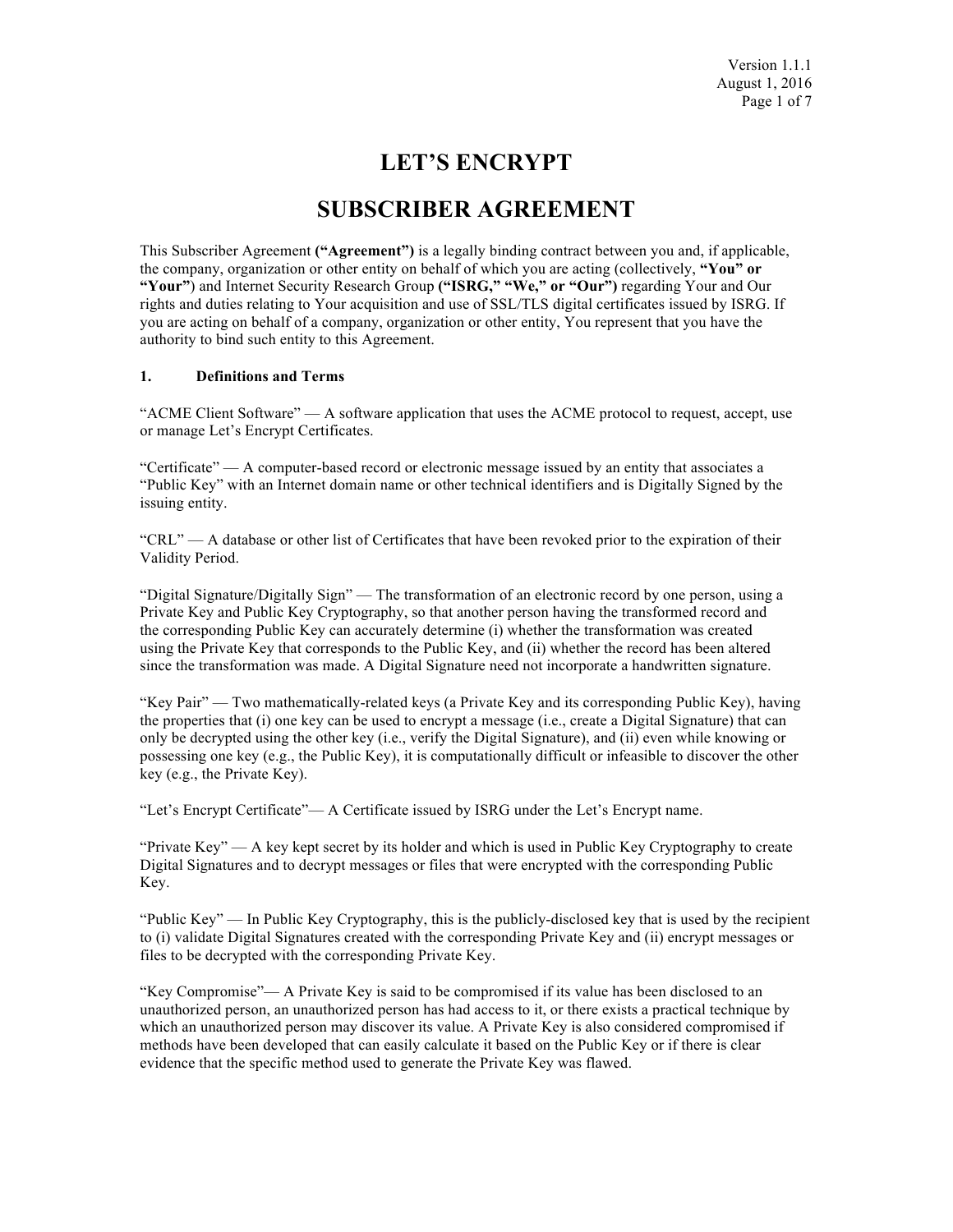# **LET'S ENCRYPT**

# **SUBSCRIBER AGREEMENT**

This Subscriber Agreement **("Agreement")** is a legally binding contract between you and, if applicable, the company, organization or other entity on behalf of which you are acting (collectively, **"You" or "Your"**) and Internet Security Research Group **("ISRG," "We," or "Our")** regarding Your and Our rights and duties relating to Your acquisition and use of SSL/TLS digital certificates issued by ISRG. If you are acting on behalf of a company, organization or other entity, You represent that you have the authority to bind such entity to this Agreement.

#### **1. Definitions and Terms**

"ACME Client Software" — A software application that uses the ACME protocol to request, accept, use or manage Let's Encrypt Certificates.

"Certificate" — A computer-based record or electronic message issued by an entity that associates a "Public Key" with an Internet domain name or other technical identifiers and is Digitally Signed by the issuing entity.

"CRL" — A database or other list of Certificates that have been revoked prior to the expiration of their Validity Period.

"Digital Signature/Digitally Sign" — The transformation of an electronic record by one person, using a Private Key and Public Key Cryptography, so that another person having the transformed record and the corresponding Public Key can accurately determine (i) whether the transformation was created using the Private Key that corresponds to the Public Key, and (ii) whether the record has been altered since the transformation was made. A Digital Signature need not incorporate a handwritten signature.

"Key Pair" — Two mathematically-related keys (a Private Key and its corresponding Public Key), having the properties that (i) one key can be used to encrypt a message (i.e., create a Digital Signature) that can only be decrypted using the other key (i.e., verify the Digital Signature), and (ii) even while knowing or possessing one key (e.g., the Public Key), it is computationally difficult or infeasible to discover the other key (e.g., the Private Key).

"Let's Encrypt Certificate"— A Certificate issued by ISRG under the Let's Encrypt name.

"Private Key" — A key kept secret by its holder and which is used in Public Key Cryptography to create Digital Signatures and to decrypt messages or files that were encrypted with the corresponding Public Key.

"Public Key" — In Public Key Cryptography, this is the publicly-disclosed key that is used by the recipient to (i) validate Digital Signatures created with the corresponding Private Key and (ii) encrypt messages or files to be decrypted with the corresponding Private Key.

"Key Compromise"— A Private Key is said to be compromised if its value has been disclosed to an unauthorized person, an unauthorized person has had access to it, or there exists a practical technique by which an unauthorized person may discover its value. A Private Key is also considered compromised if methods have been developed that can easily calculate it based on the Public Key or if there is clear evidence that the specific method used to generate the Private Key was flawed.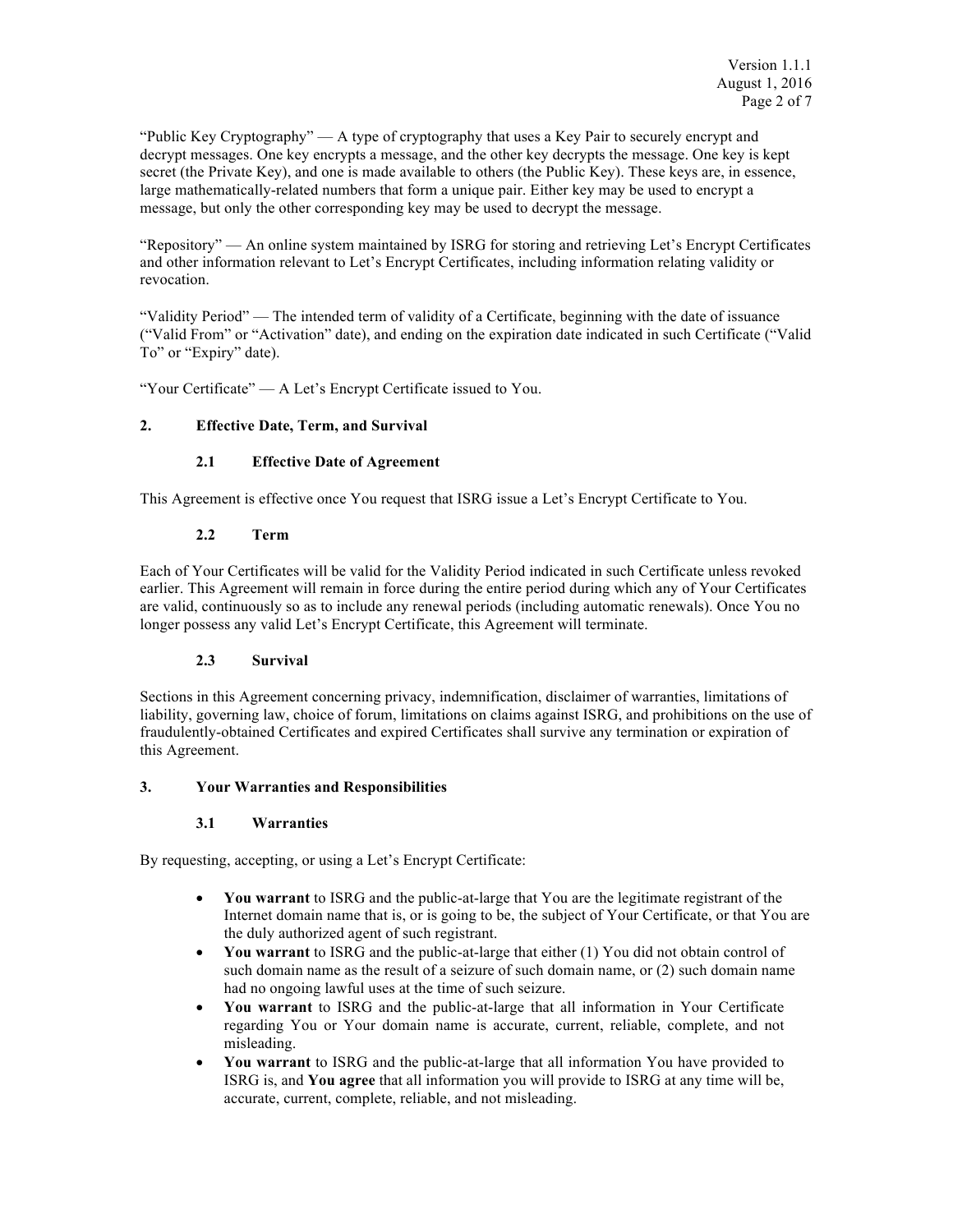"Public Key Cryptography" — A type of cryptography that uses a Key Pair to securely encrypt and decrypt messages. One key encrypts a message, and the other key decrypts the message. One key is kept secret (the Private Key), and one is made available to others (the Public Key). These keys are, in essence, large mathematically-related numbers that form a unique pair. Either key may be used to encrypt a message, but only the other corresponding key may be used to decrypt the message.

"Repository" — An online system maintained by ISRG for storing and retrieving Let's Encrypt Certificates and other information relevant to Let's Encrypt Certificates, including information relating validity or revocation.

"Validity Period" — The intended term of validity of a Certificate, beginning with the date of issuance ("Valid From" or "Activation" date), and ending on the expiration date indicated in such Certificate ("Valid To" or "Expiry" date).

"Your Certificate" — A Let's Encrypt Certificate issued to You.

## **2. Effective Date, Term, and Survival**

## **2.1 Effective Date of Agreement**

This Agreement is effective once You request that ISRG issue a Let's Encrypt Certificate to You.

## **2.2 Term**

Each of Your Certificates will be valid for the Validity Period indicated in such Certificate unless revoked earlier. This Agreement will remain in force during the entire period during which any of Your Certificates are valid, continuously so as to include any renewal periods (including automatic renewals). Once You no longer possess any valid Let's Encrypt Certificate, this Agreement will terminate.

#### **2.3 Survival**

Sections in this Agreement concerning privacy, indemnification, disclaimer of warranties, limitations of liability, governing law, choice of forum, limitations on claims against ISRG, and prohibitions on the use of fraudulently-obtained Certificates and expired Certificates shall survive any termination or expiration of this Agreement.

#### **3. Your Warranties and Responsibilities**

#### **3.1 Warranties**

By requesting, accepting, or using a Let's Encrypt Certificate:

- **You warrant** to ISRG and the public-at-large that You are the legitimate registrant of the Internet domain name that is, or is going to be, the subject of Your Certificate, or that You are the duly authorized agent of such registrant.
- You warrant to ISRG and the public-at-large that either (1) You did not obtain control of such domain name as the result of a seizure of such domain name, or (2) such domain name had no ongoing lawful uses at the time of such seizure.
- **You warrant** to ISRG and the public-at-large that all information in Your Certificate regarding You or Your domain name is accurate, current, reliable, complete, and not misleading.
- **You warrant** to ISRG and the public-at-large that all information You have provided to ISRG is, and **You agree** that all information you will provide to ISRG at any time will be, accurate, current, complete, reliable, and not misleading.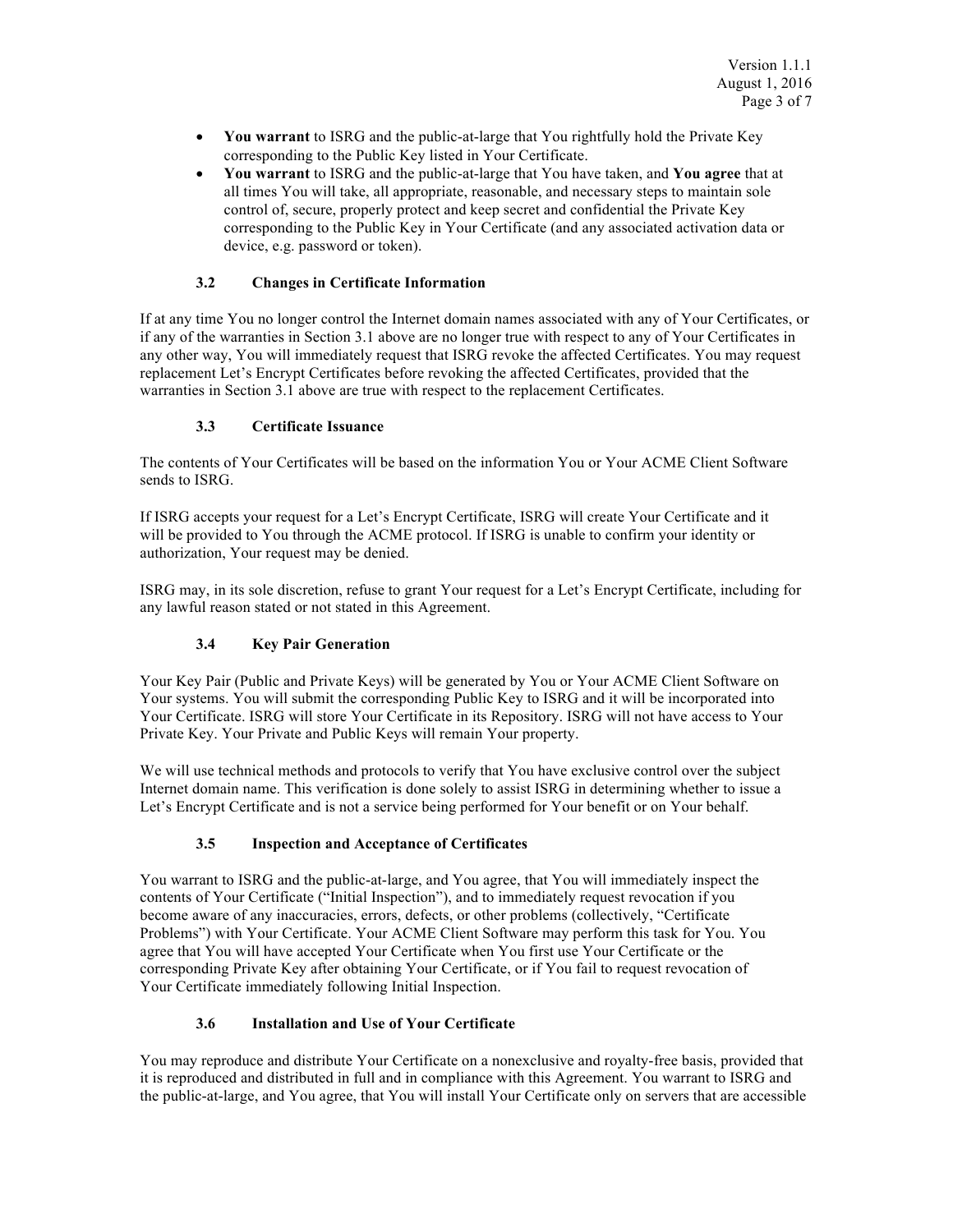- **You warrant** to ISRG and the public-at-large that You rightfully hold the Private Key corresponding to the Public Key listed in Your Certificate.
- **You warrant** to ISRG and the public-at-large that You have taken, and **You agree** that at all times You will take, all appropriate, reasonable, and necessary steps to maintain sole control of, secure, properly protect and keep secret and confidential the Private Key corresponding to the Public Key in Your Certificate (and any associated activation data or device, e.g. password or token).

# **3.2 Changes in Certificate Information**

If at any time You no longer control the Internet domain names associated with any of Your Certificates, or if any of the warranties in Section 3.1 above are no longer true with respect to any of Your Certificates in any other way, You will immediately request that ISRG revoke the affected Certificates. You may request replacement Let's Encrypt Certificates before revoking the affected Certificates, provided that the warranties in Section 3.1 above are true with respect to the replacement Certificates.

## **3.3 Certificate Issuance**

The contents of Your Certificates will be based on the information You or Your ACME Client Software sends to ISRG.

If ISRG accepts your request for a Let's Encrypt Certificate, ISRG will create Your Certificate and it will be provided to You through the ACME protocol. If ISRG is unable to confirm your identity or authorization, Your request may be denied.

ISRG may, in its sole discretion, refuse to grant Your request for a Let's Encrypt Certificate, including for any lawful reason stated or not stated in this Agreement.

# **3.4 Key Pair Generation**

Your Key Pair (Public and Private Keys) will be generated by You or Your ACME Client Software on Your systems. You will submit the corresponding Public Key to ISRG and it will be incorporated into Your Certificate. ISRG will store Your Certificate in its Repository. ISRG will not have access to Your Private Key. Your Private and Public Keys will remain Your property.

We will use technical methods and protocols to verify that You have exclusive control over the subject Internet domain name. This verification is done solely to assist ISRG in determining whether to issue a Let's Encrypt Certificate and is not a service being performed for Your benefit or on Your behalf.

# **3.5 Inspection and Acceptance of Certificates**

You warrant to ISRG and the public-at-large, and You agree, that You will immediately inspect the contents of Your Certificate ("Initial Inspection"), and to immediately request revocation if you become aware of any inaccuracies, errors, defects, or other problems (collectively, "Certificate Problems") with Your Certificate. Your ACME Client Software may perform this task for You. You agree that You will have accepted Your Certificate when You first use Your Certificate or the corresponding Private Key after obtaining Your Certificate, or if You fail to request revocation of Your Certificate immediately following Initial Inspection.

# **3.6 Installation and Use of Your Certificate**

You may reproduce and distribute Your Certificate on a nonexclusive and royalty-free basis, provided that it is reproduced and distributed in full and in compliance with this Agreement. You warrant to ISRG and the public-at-large, and You agree, that You will install Your Certificate only on servers that are accessible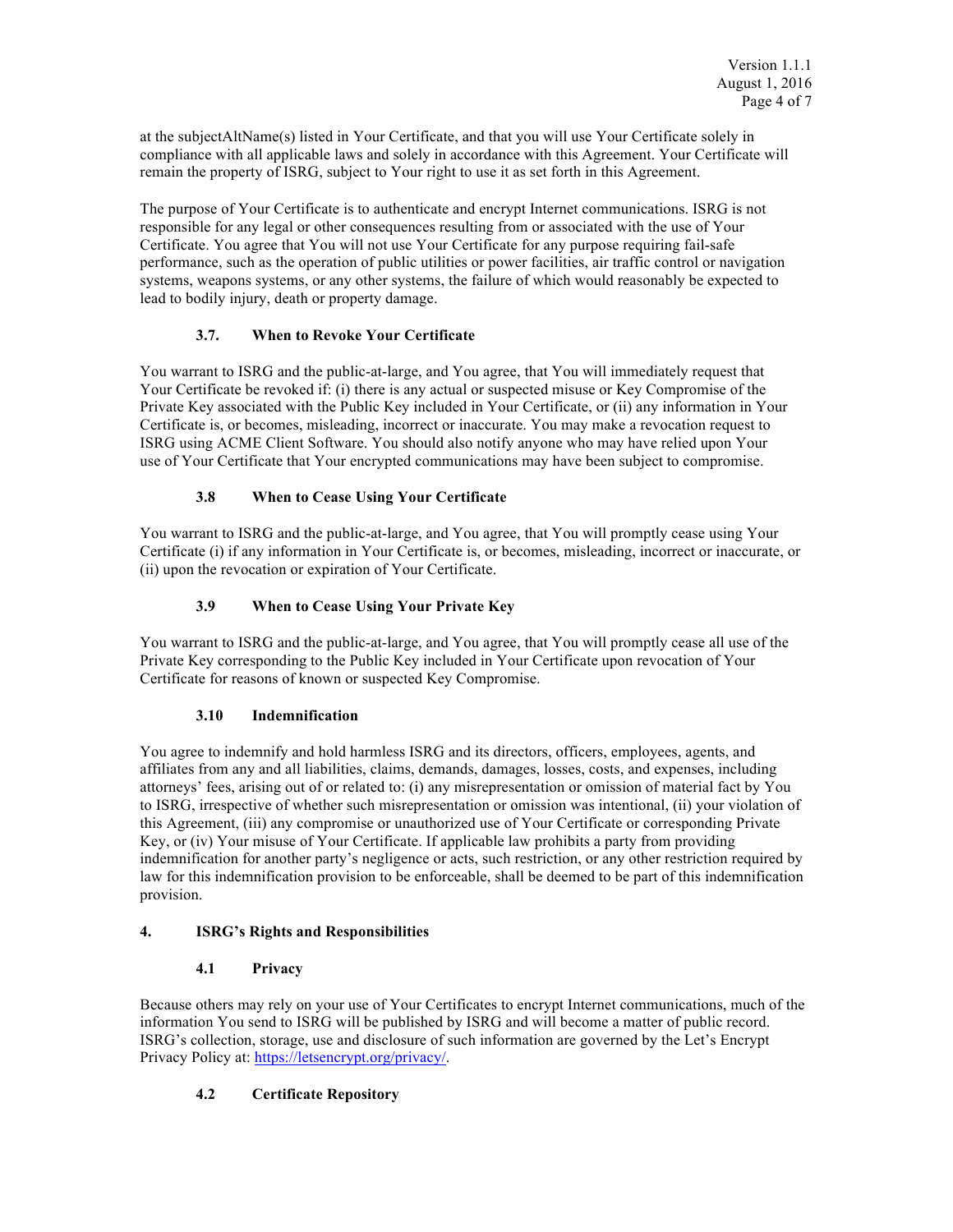at the subjectAltName(s) listed in Your Certificate, and that you will use Your Certificate solely in compliance with all applicable laws and solely in accordance with this Agreement. Your Certificate will remain the property of ISRG, subject to Your right to use it as set forth in this Agreement.

The purpose of Your Certificate is to authenticate and encrypt Internet communications. ISRG is not responsible for any legal or other consequences resulting from or associated with the use of Your Certificate. You agree that You will not use Your Certificate for any purpose requiring fail-safe performance, such as the operation of public utilities or power facilities, air traffic control or navigation systems, weapons systems, or any other systems, the failure of which would reasonably be expected to lead to bodily injury, death or property damage.

# **3.7. When to Revoke Your Certificate**

You warrant to ISRG and the public-at-large, and You agree, that You will immediately request that Your Certificate be revoked if: (i) there is any actual or suspected misuse or Key Compromise of the Private Key associated with the Public Key included in Your Certificate, or (ii) any information in Your Certificate is, or becomes, misleading, incorrect or inaccurate. You may make a revocation request to ISRG using ACME Client Software. You should also notify anyone who may have relied upon Your use of Your Certificate that Your encrypted communications may have been subject to compromise.

## **3.8 When to Cease Using Your Certificate**

You warrant to ISRG and the public-at-large, and You agree, that You will promptly cease using Your Certificate (i) if any information in Your Certificate is, or becomes, misleading, incorrect or inaccurate, or (ii) upon the revocation or expiration of Your Certificate.

## **3.9 When to Cease Using Your Private Key**

You warrant to ISRG and the public-at-large, and You agree, that You will promptly cease all use of the Private Key corresponding to the Public Key included in Your Certificate upon revocation of Your Certificate for reasons of known or suspected Key Compromise.

#### **3.10 Indemnification**

You agree to indemnify and hold harmless ISRG and its directors, officers, employees, agents, and affiliates from any and all liabilities, claims, demands, damages, losses, costs, and expenses, including attorneys' fees, arising out of or related to: (i) any misrepresentation or omission of material fact by You to ISRG, irrespective of whether such misrepresentation or omission was intentional, (ii) your violation of this Agreement, (iii) any compromise or unauthorized use of Your Certificate or corresponding Private Key, or (iv) Your misuse of Your Certificate. If applicable law prohibits a party from providing indemnification for another party's negligence or acts, such restriction, or any other restriction required by law for this indemnification provision to be enforceable, shall be deemed to be part of this indemnification provision.

#### **4. ISRG's Rights and Responsibilities**

# **4.1 Privacy**

Because others may rely on your use of Your Certificates to encrypt Internet communications, much of the information You send to ISRG will be published by ISRG and will become a matter of public record. ISRG's collection, storage, use and disclosure of such information are governed by the Let's Encrypt Privacy Policy at: https://letsencrypt.org/privacy/.

#### **4.2 Certificate Repository**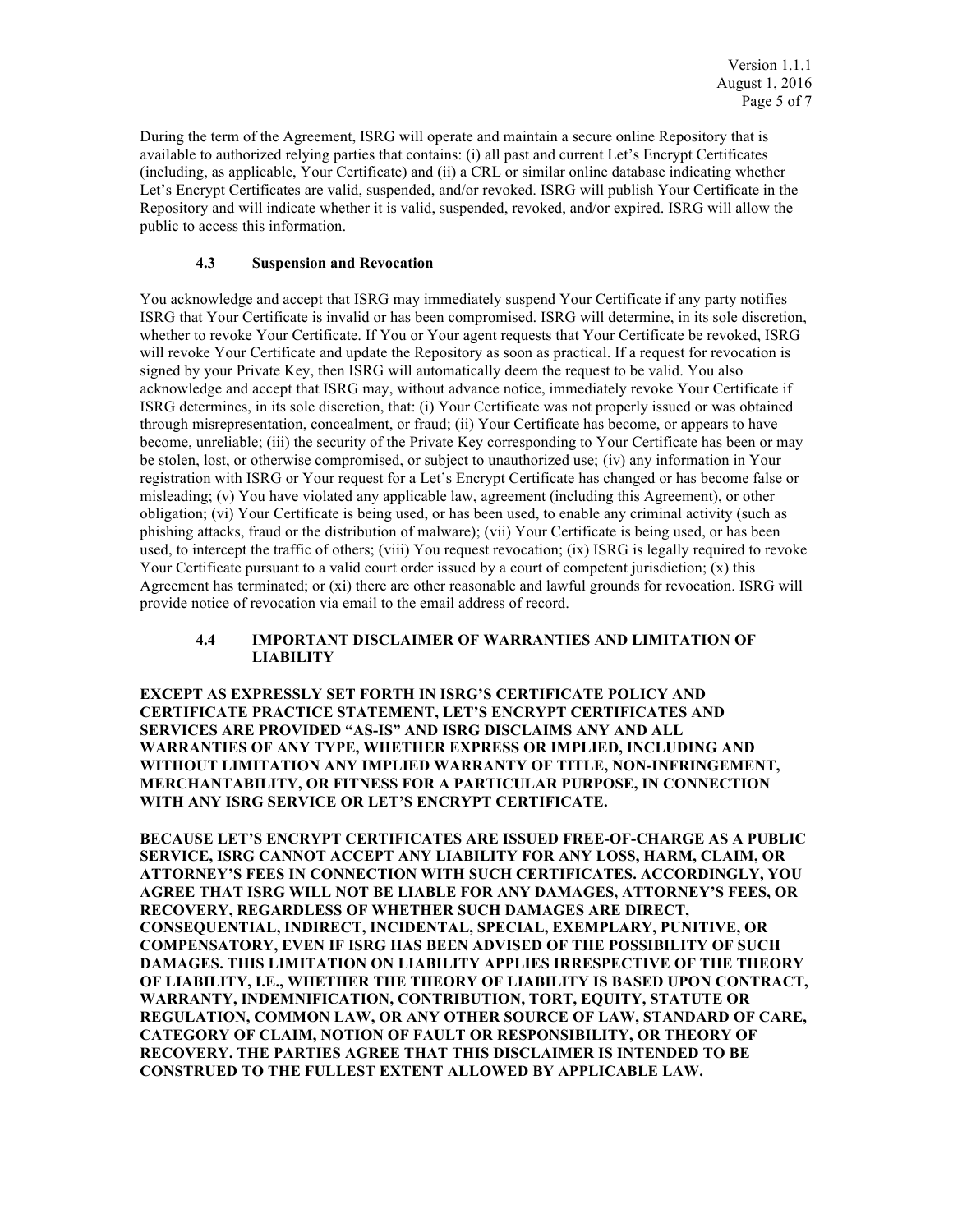During the term of the Agreement, ISRG will operate and maintain a secure online Repository that is available to authorized relying parties that contains: (i) all past and current Let's Encrypt Certificates (including, as applicable, Your Certificate) and (ii) a CRL or similar online database indicating whether Let's Encrypt Certificates are valid, suspended, and/or revoked. ISRG will publish Your Certificate in the Repository and will indicate whether it is valid, suspended, revoked, and/or expired. ISRG will allow the public to access this information.

#### **4.3 Suspension and Revocation**

You acknowledge and accept that ISRG may immediately suspend Your Certificate if any party notifies ISRG that Your Certificate is invalid or has been compromised. ISRG will determine, in its sole discretion, whether to revoke Your Certificate. If You or Your agent requests that Your Certificate be revoked, ISRG will revoke Your Certificate and update the Repository as soon as practical. If a request for revocation is signed by your Private Key, then ISRG will automatically deem the request to be valid. You also acknowledge and accept that ISRG may, without advance notice, immediately revoke Your Certificate if ISRG determines, in its sole discretion, that: (i) Your Certificate was not properly issued or was obtained through misrepresentation, concealment, or fraud; (ii) Your Certificate has become, or appears to have become, unreliable; (iii) the security of the Private Key corresponding to Your Certificate has been or may be stolen, lost, or otherwise compromised, or subject to unauthorized use; (iv) any information in Your registration with ISRG or Your request for a Let's Encrypt Certificate has changed or has become false or misleading; (v) You have violated any applicable law, agreement (including this Agreement), or other obligation; (vi) Your Certificate is being used, or has been used, to enable any criminal activity (such as phishing attacks, fraud or the distribution of malware); (vii) Your Certificate is being used, or has been used, to intercept the traffic of others; (viii) You request revocation; (ix) ISRG is legally required to revoke Your Certificate pursuant to a valid court order issued by a court of competent jurisdiction; (x) this Agreement has terminated; or (xi) there are other reasonable and lawful grounds for revocation. ISRG will provide notice of revocation via email to the email address of record.

#### **4.4 IMPORTANT DISCLAIMER OF WARRANTIES AND LIMITATION OF LIABILITY**

**EXCEPT AS EXPRESSLY SET FORTH IN ISRG'S CERTIFICATE POLICY AND CERTIFICATE PRACTICE STATEMENT, LET'S ENCRYPT CERTIFICATES AND SERVICES ARE PROVIDED "AS-IS" AND ISRG DISCLAIMS ANY AND ALL WARRANTIES OF ANY TYPE, WHETHER EXPRESS OR IMPLIED, INCLUDING AND WITHOUT LIMITATION ANY IMPLIED WARRANTY OF TITLE, NON-INFRINGEMENT, MERCHANTABILITY, OR FITNESS FOR A PARTICULAR PURPOSE, IN CONNECTION WITH ANY ISRG SERVICE OR LET'S ENCRYPT CERTIFICATE.**

**BECAUSE LET'S ENCRYPT CERTIFICATES ARE ISSUED FREE-OF-CHARGE AS A PUBLIC SERVICE, ISRG CANNOT ACCEPT ANY LIABILITY FOR ANY LOSS, HARM, CLAIM, OR ATTORNEY'S FEES IN CONNECTION WITH SUCH CERTIFICATES. ACCORDINGLY, YOU AGREE THAT ISRG WILL NOT BE LIABLE FOR ANY DAMAGES, ATTORNEY'S FEES, OR RECOVERY, REGARDLESS OF WHETHER SUCH DAMAGES ARE DIRECT, CONSEQUENTIAL, INDIRECT, INCIDENTAL, SPECIAL, EXEMPLARY, PUNITIVE, OR COMPENSATORY, EVEN IF ISRG HAS BEEN ADVISED OF THE POSSIBILITY OF SUCH DAMAGES. THIS LIMITATION ON LIABILITY APPLIES IRRESPECTIVE OF THE THEORY OF LIABILITY, I.E., WHETHER THE THEORY OF LIABILITY IS BASED UPON CONTRACT, WARRANTY, INDEMNIFICATION, CONTRIBUTION, TORT, EQUITY, STATUTE OR REGULATION, COMMON LAW, OR ANY OTHER SOURCE OF LAW, STANDARD OF CARE, CATEGORY OF CLAIM, NOTION OF FAULT OR RESPONSIBILITY, OR THEORY OF RECOVERY. THE PARTIES AGREE THAT THIS DISCLAIMER IS INTENDED TO BE CONSTRUED TO THE FULLEST EXTENT ALLOWED BY APPLICABLE LAW.**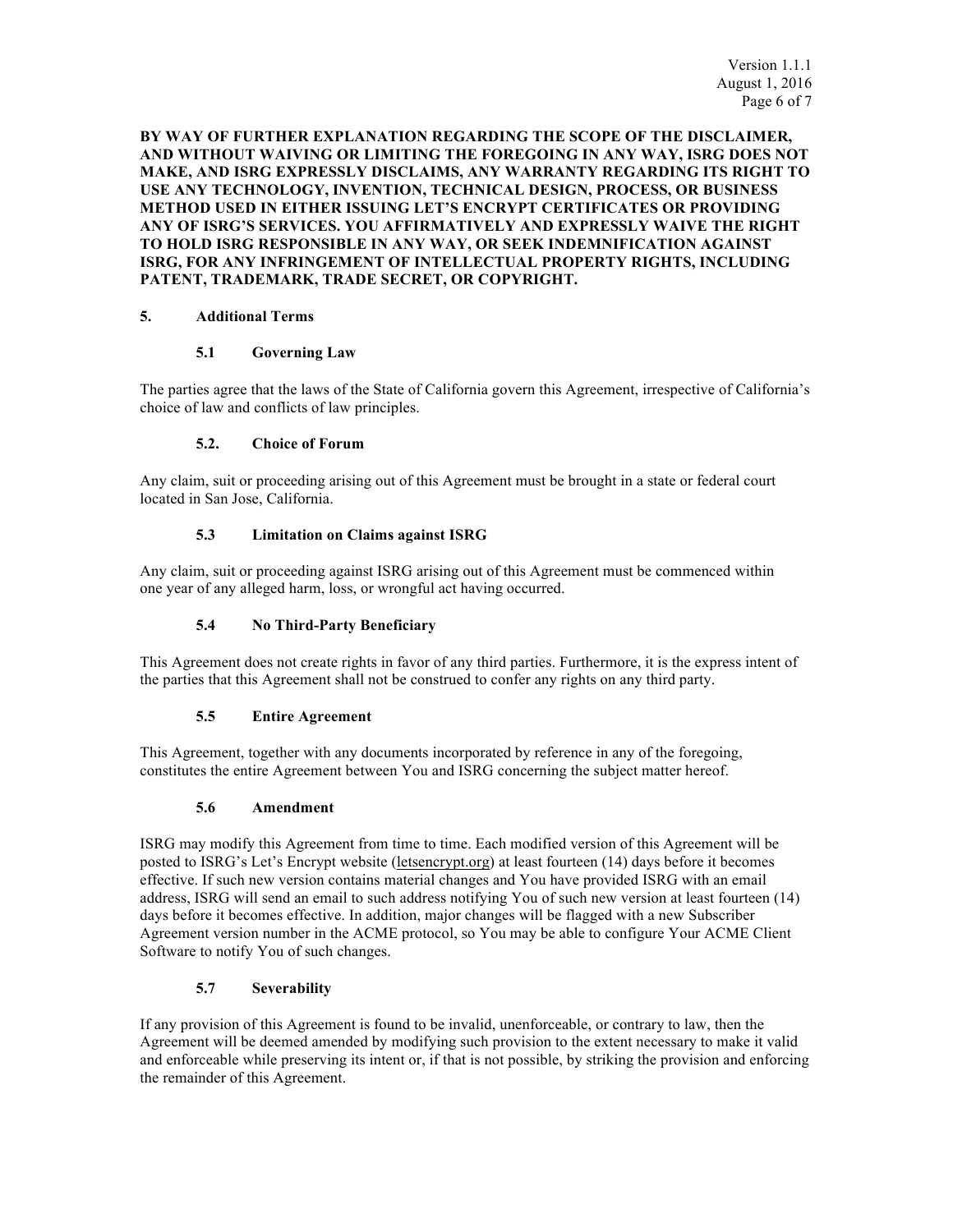**BY WAY OF FURTHER EXPLANATION REGARDING THE SCOPE OF THE DISCLAIMER, AND WITHOUT WAIVING OR LIMITING THE FOREGOING IN ANY WAY, ISRG DOES NOT MAKE, AND ISRG EXPRESSLY DISCLAIMS, ANY WARRANTY REGARDING ITS RIGHT TO USE ANY TECHNOLOGY, INVENTION, TECHNICAL DESIGN, PROCESS, OR BUSINESS METHOD USED IN EITHER ISSUING LET'S ENCRYPT CERTIFICATES OR PROVIDING ANY OF ISRG'S SERVICES. YOU AFFIRMATIVELY AND EXPRESSLY WAIVE THE RIGHT TO HOLD ISRG RESPONSIBLE IN ANY WAY, OR SEEK INDEMNIFICATION AGAINST ISRG, FOR ANY INFRINGEMENT OF INTELLECTUAL PROPERTY RIGHTS, INCLUDING PATENT, TRADEMARK, TRADE SECRET, OR COPYRIGHT.**

## **5. Additional Terms**

#### **5.1 Governing Law**

The parties agree that the laws of the State of California govern this Agreement, irrespective of California's choice of law and conflicts of law principles.

#### **5.2. Choice of Forum**

Any claim, suit or proceeding arising out of this Agreement must be brought in a state or federal court located in San Jose, California.

#### **5.3 Limitation on Claims against ISRG**

Any claim, suit or proceeding against ISRG arising out of this Agreement must be commenced within one year of any alleged harm, loss, or wrongful act having occurred.

### **5.4 No Third-Party Beneficiary**

This Agreement does not create rights in favor of any third parties. Furthermore, it is the express intent of the parties that this Agreement shall not be construed to confer any rights on any third party.

#### **5.5 Entire Agreement**

This Agreement, together with any documents incorporated by reference in any of the foregoing, constitutes the entire Agreement between You and ISRG concerning the subject matter hereof.

#### **5.6 Amendment**

ISRG may modify this Agreement from time to time. Each modified version of this Agreement will be posted to ISRG's Let's Encrypt website (letsencrypt.org) at least fourteen (14) days before it becomes effective. If such new version contains material changes and You have provided ISRG with an email address, ISRG will send an email to such address notifying You of such new version at least fourteen (14) days before it becomes effective. In addition, major changes will be flagged with a new Subscriber Agreement version number in the ACME protocol, so You may be able to configure Your ACME Client Software to notify You of such changes.

#### **5.7 Severability**

If any provision of this Agreement is found to be invalid, unenforceable, or contrary to law, then the Agreement will be deemed amended by modifying such provision to the extent necessary to make it valid and enforceable while preserving its intent or, if that is not possible, by striking the provision and enforcing the remainder of this Agreement.